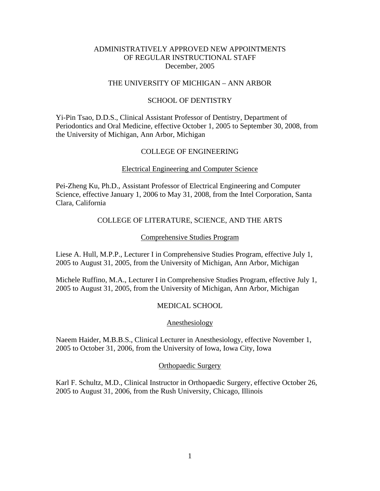## ADMINISTRATIVELY APPROVED NEW APPOINTMENTS OF REGULAR INSTRUCTIONAL STAFF December, 2005

### THE UNIVERSITY OF MICHIGAN – ANN ARBOR

### SCHOOL OF DENTISTRY

Yi-Pin Tsao, D.D.S., Clinical Assistant Professor of Dentistry, Department of Periodontics and Oral Medicine, effective October 1, 2005 to September 30, 2008, from the University of Michigan, Ann Arbor, Michigan

### COLLEGE OF ENGINEERING

### Electrical Engineering and Computer Science

Pei-Zheng Ku, Ph.D., Assistant Professor of Electrical Engineering and Computer Science, effective January 1, 2006 to May 31, 2008, from the Intel Corporation, Santa Clara, California

### COLLEGE OF LITERATURE, SCIENCE, AND THE ARTS

#### Comprehensive Studies Program

Liese A. Hull, M.P.P., Lecturer I in Comprehensive Studies Program, effective July 1, 2005 to August 31, 2005, from the University of Michigan, Ann Arbor, Michigan

Michele Ruffino, M.A., Lecturer I in Comprehensive Studies Program, effective July 1, 2005 to August 31, 2005, from the University of Michigan, Ann Arbor, Michigan

## MEDICAL SCHOOL

#### Anesthesiology

Naeem Haider, M.B.B.S., Clinical Lecturer in Anesthesiology, effective November 1, 2005 to October 31, 2006, from the University of Iowa, Iowa City, Iowa

#### Orthopaedic Surgery

Karl F. Schultz, M.D., Clinical Instructor in Orthopaedic Surgery, effective October 26, 2005 to August 31, 2006, from the Rush University, Chicago, Illinois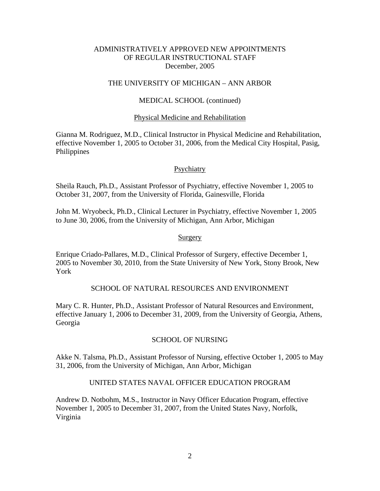## ADMINISTRATIVELY APPROVED NEW APPOINTMENTS OF REGULAR INSTRUCTIONAL STAFF December, 2005

### THE UNIVERSITY OF MICHIGAN – ANN ARBOR

### MEDICAL SCHOOL (continued)

#### Physical Medicine and Rehabilitation

Gianna M. Rodriguez, M.D., Clinical Instructor in Physical Medicine and Rehabilitation, effective November 1, 2005 to October 31, 2006, from the Medical City Hospital, Pasig, Philippines

#### Psychiatry

Sheila Rauch, Ph.D., Assistant Professor of Psychiatry, effective November 1, 2005 to October 31, 2007, from the University of Florida, Gainesville, Florida

John M. Wryobeck, Ph.D., Clinical Lecturer in Psychiatry, effective November 1, 2005 to June 30, 2006, from the University of Michigan, Ann Arbor, Michigan

#### **Surgery**

Enrique Criado-Pallares, M.D., Clinical Professor of Surgery, effective December 1, 2005 to November 30, 2010, from the State University of New York, Stony Brook, New York

#### SCHOOL OF NATURAL RESOURCES AND ENVIRONMENT

Mary C. R. Hunter, Ph.D., Assistant Professor of Natural Resources and Environment, effective January 1, 2006 to December 31, 2009, from the University of Georgia, Athens, Georgia

#### SCHOOL OF NURSING

Akke N. Talsma, Ph.D., Assistant Professor of Nursing, effective October 1, 2005 to May 31, 2006, from the University of Michigan, Ann Arbor, Michigan

# UNITED STATES NAVAL OFFICER EDUCATION PROGRAM

Andrew D. Notbohm, M.S., Instructor in Navy Officer Education Program, effective November 1, 2005 to December 31, 2007, from the United States Navy, Norfolk, Virginia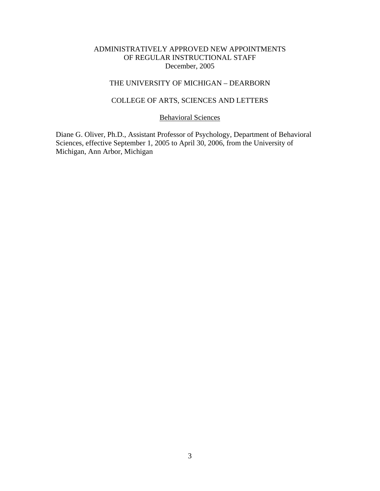## ADMINISTRATIVELY APPROVED NEW APPOINTMENTS OF REGULAR INSTRUCTIONAL STAFF December, 2005

# THE UNIVERSITY OF MICHIGAN – DEARBORN

## COLLEGE OF ARTS, SCIENCES AND LETTERS

# Behavioral Sciences

Diane G. Oliver, Ph.D., Assistant Professor of Psychology, Department of Behavioral Sciences, effective September 1, 2005 to April 30, 2006, from the University of Michigan, Ann Arbor, Michigan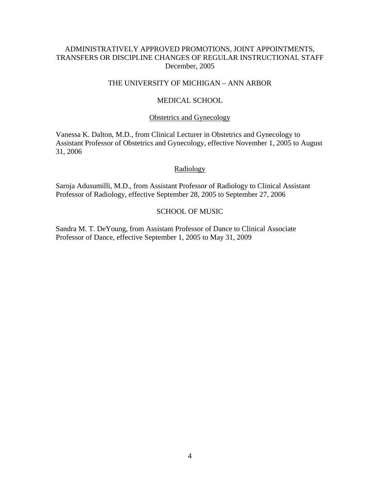## ADMINISTRATIVELY APPROVED PROMOTIONS, JOINT APPOINTMENTS, TRANSFERS OR DISCIPLINE CHANGES OF REGULAR INSTRUCTIONAL STAFF December, 2005

### THE UNIVERSITY OF MICHIGAN – ANN ARBOR

### MEDICAL SCHOOL

#### Obstetrics and Gynecology

Vanessa K. Dalton, M.D., from Clinical Lecturer in Obstetrics and Gynecology to Assistant Professor of Obstetrics and Gynecology, effective November 1, 2005 to August 31, 2006

#### Radiology

Saroja Adusumilli, M.D., from Assistant Professor of Radiology to Clinical Assistant Professor of Radiology, effective September 28, 2005 to September 27, 2006

### SCHOOL OF MUSIC

Sandra M. T. DeYoung, from Assistant Professor of Dance to Clinical Associate Professor of Dance, effective September 1, 2005 to May 31, 2009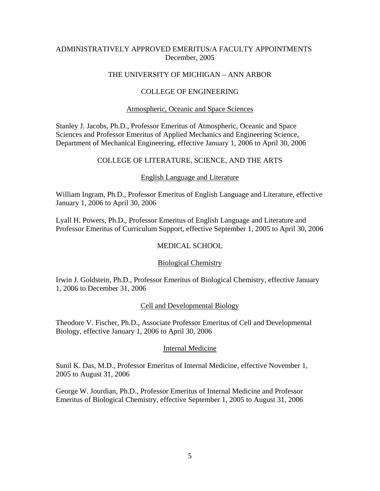# ADMINISTRATIVELY APPROVED EMERITUS/A FACULTY APPOINTMENTS December, 2005

## THE UNIVERSITY OF MICHIGAN – ANN ARBOR

## COLLEGE OF ENGINEERING

### Atmospheric, Oceanic and Space Sciences

Stanley J. Jacobs, Ph.D., Professor Emeritus of Atmospheric, Oceanic and Space Sciences and Professor Emeritus of Applied Mechanics and Engineering Science, Department of Mechanical Engineering, effective January 1, 2006 to April 30, 2006

## COLLEGE OF LITERATURE, SCIENCE, AND THE ARTS

#### English Language and Literature

William Ingram, Ph.D., Professor Emeritus of English Language and Literature, effective January 1, 2006 to April 30, 2006

Lyall H. Powers, Ph.D., Professor Emeritus of English Language and Literature and Professor Emeritus of Curriculum Support, effective September 1, 2005 to April 30, 2006

### MEDICAL SCHOOL

#### Biological Chemistry

Irwin J. Goldstein, Ph.D., Professor Emeritus of Biological Chemistry, effective January 1, 2006 to December 31, 2006

#### Cell and Developmental Biology

Theodore V. Fischer, Ph.D., Associate Professor Emeritus of Cell and Developmental Biology, effective January 1, 2006 to April 30, 2006

#### Internal Medicine

Sunil K. Das, M.D., Professor Emeritus of Internal Medicine, effective November 1, 2005 to August 31, 2006

George W. Jourdian, Ph.D., Professor Emeritus of Internal Medicine and Professor Emeritus of Biological Chemistry, effective September 1, 2005 to August 31, 2006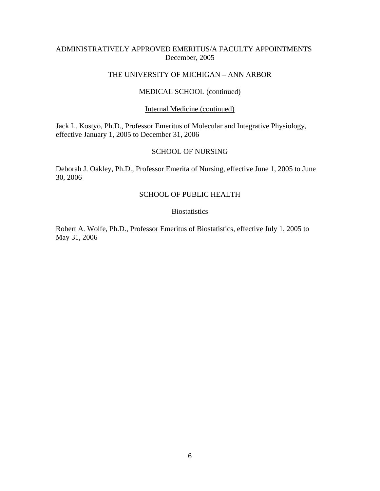## ADMINISTRATIVELY APPROVED EMERITUS/A FACULTY APPOINTMENTS December, 2005

## THE UNIVERSITY OF MICHIGAN – ANN ARBOR

## MEDICAL SCHOOL (continued)

#### Internal Medicine (continued)

Jack L. Kostyo, Ph.D., Professor Emeritus of Molecular and Integrative Physiology, effective January 1, 2005 to December 31, 2006

### SCHOOL OF NURSING

Deborah J. Oakley, Ph.D., Professor Emerita of Nursing, effective June 1, 2005 to June 30, 2006

# SCHOOL OF PUBLIC HEALTH

### **Biostatistics**

Robert A. Wolfe, Ph.D., Professor Emeritus of Biostatistics, effective July 1, 2005 to May 31, 2006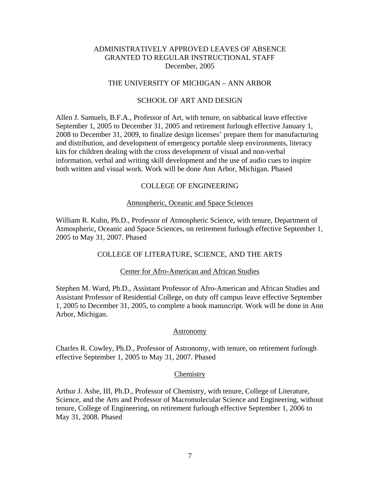#### THE UNIVERSITY OF MICHIGAN – ANN ARBOR

#### SCHOOL OF ART AND DESIGN

Allen J. Samuels, B.F.A., Professor of Art, with tenure, on sabbatical leave effective September 1, 2005 to December 31, 2005 and retirement furlough effective January 1, 2008 to December 31, 2009, to finalize design licenses' prepare them for manufacturing and distribution, and development of emergency portable sleep environments, literacy kits for children dealing with the cross development of visual and non-verbal information, verbal and writing skill development and the use of audio cues to inspire both written and visual work. Work will be done Ann Arbor, Michigan. Phased

#### COLLEGE OF ENGINEERING

#### Atmospheric, Oceanic and Space Sciences

William R. Kuhn, Ph.D., Professor of Atmospheric Science, with tenure, Department of Atmospheric, Oceanic and Space Sciences, on retirement furlough effective September 1, 2005 to May 31, 2007. Phased

#### COLLEGE OF LITERATURE, SCIENCE, AND THE ARTS

#### Center for Afro-American and African Studies

Stephen M. Ward, Ph.D., Assistant Professor of Afro-American and African Studies and Assistant Professor of Residential College, on duty off campus leave effective September 1, 2005 to December 31, 2005, to complete a book manuscript. Work will be done in Ann Arbor, Michigan.

#### Astronomy

Charles R. Cowley, Ph.D., Professor of Astronomy, with tenure, on retirement furlough effective September 1, 2005 to May 31, 2007. Phased

#### **Chemistry**

Arthur J. Ashe, III, Ph.D., Professor of Chemistry, with tenure, College of Literature, Science, and the Arts and Professor of Macromolecular Science and Engineering, without tenure, College of Engineering, on retirement furlough effective September 1, 2006 to May 31, 2008. Phased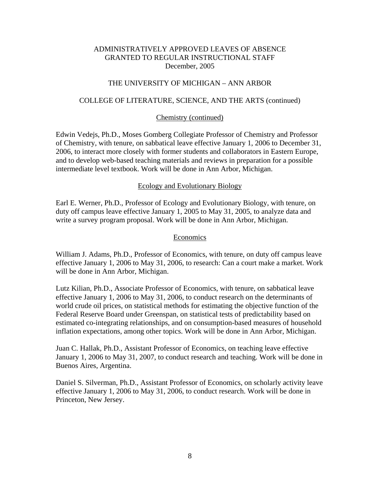# THE UNIVERSITY OF MICHIGAN – ANN ARBOR

#### COLLEGE OF LITERATURE, SCIENCE, AND THE ARTS (continued)

#### Chemistry (continued)

Edwin Vedejs, Ph.D., Moses Gomberg Collegiate Professor of Chemistry and Professor of Chemistry, with tenure, on sabbatical leave effective January 1, 2006 to December 31, 2006, to interact more closely with former students and collaborators in Eastern Europe, and to develop web-based teaching materials and reviews in preparation for a possible intermediate level textbook. Work will be done in Ann Arbor, Michigan.

#### Ecology and Evolutionary Biology

Earl E. Werner, Ph.D., Professor of Ecology and Evolutionary Biology, with tenure, on duty off campus leave effective January 1, 2005 to May 31, 2005, to analyze data and write a survey program proposal. Work will be done in Ann Arbor, Michigan.

#### Economics

William J. Adams, Ph.D., Professor of Economics, with tenure, on duty off campus leave effective January 1, 2006 to May 31, 2006, to research: Can a court make a market. Work will be done in Ann Arbor, Michigan.

Lutz Kilian, Ph.D., Associate Professor of Economics, with tenure, on sabbatical leave effective January 1, 2006 to May 31, 2006, to conduct research on the determinants of world crude oil prices, on statistical methods for estimating the objective function of the Federal Reserve Board under Greenspan, on statistical tests of predictability based on estimated co-integrating relationships, and on consumption-based measures of household inflation expectations, among other topics. Work will be done in Ann Arbor, Michigan.

Juan C. Hallak, Ph.D., Assistant Professor of Economics, on teaching leave effective January 1, 2006 to May 31, 2007, to conduct research and teaching. Work will be done in Buenos Aires, Argentina.

Daniel S. Silverman, Ph.D., Assistant Professor of Economics, on scholarly activity leave effective January 1, 2006 to May 31, 2006, to conduct research. Work will be done in Princeton, New Jersey.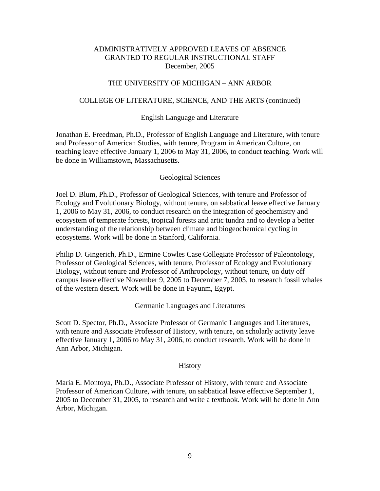### THE UNIVERSITY OF MICHIGAN – ANN ARBOR

#### COLLEGE OF LITERATURE, SCIENCE, AND THE ARTS (continued)

#### English Language and Literature

Jonathan E. Freedman, Ph.D., Professor of English Language and Literature, with tenure and Professor of American Studies, with tenure, Program in American Culture, on teaching leave effective January 1, 2006 to May 31, 2006, to conduct teaching. Work will be done in Williamstown, Massachusetts.

#### Geological Sciences

Joel D. Blum, Ph.D., Professor of Geological Sciences, with tenure and Professor of Ecology and Evolutionary Biology, without tenure, on sabbatical leave effective January 1, 2006 to May 31, 2006, to conduct research on the integration of geochemistry and ecosystem of temperate forests, tropical forests and artic tundra and to develop a better understanding of the relationship between climate and biogeochemical cycling in ecosystems. Work will be done in Stanford, California.

Philip D. Gingerich, Ph.D., Ermine Cowles Case Collegiate Professor of Paleontology, Professor of Geological Sciences, with tenure, Professor of Ecology and Evolutionary Biology, without tenure and Professor of Anthropology, without tenure, on duty off campus leave effective November 9, 2005 to December 7, 2005, to research fossil whales of the western desert. Work will be done in Fayunm, Egypt.

#### Germanic Languages and Literatures

Scott D. Spector, Ph.D., Associate Professor of Germanic Languages and Literatures, with tenure and Associate Professor of History, with tenure, on scholarly activity leave effective January 1, 2006 to May 31, 2006, to conduct research. Work will be done in Ann Arbor, Michigan.

#### **History**

Maria E. Montoya, Ph.D., Associate Professor of History, with tenure and Associate Professor of American Culture, with tenure, on sabbatical leave effective September 1, 2005 to December 31, 2005, to research and write a textbook. Work will be done in Ann Arbor, Michigan.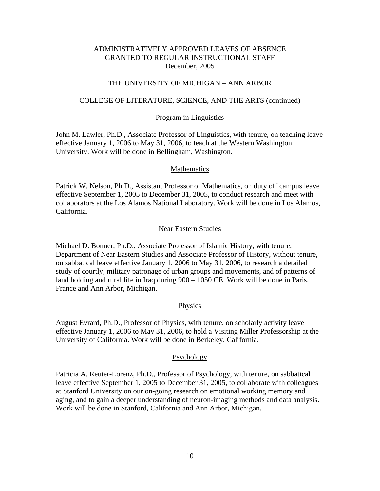### THE UNIVERSITY OF MICHIGAN – ANN ARBOR

#### COLLEGE OF LITERATURE, SCIENCE, AND THE ARTS (continued)

#### Program in Linguistics

John M. Lawler, Ph.D., Associate Professor of Linguistics, with tenure, on teaching leave effective January 1, 2006 to May 31, 2006, to teach at the Western Washington University. Work will be done in Bellingham, Washington.

#### **Mathematics**

Patrick W. Nelson, Ph.D., Assistant Professor of Mathematics, on duty off campus leave effective September 1, 2005 to December 31, 2005, to conduct research and meet with collaborators at the Los Alamos National Laboratory. Work will be done in Los Alamos, California.

#### Near Eastern Studies

Michael D. Bonner, Ph.D., Associate Professor of Islamic History, with tenure, Department of Near Eastern Studies and Associate Professor of History, without tenure, on sabbatical leave effective January 1, 2006 to May 31, 2006, to research a detailed study of courtly, military patronage of urban groups and movements, and of patterns of land holding and rural life in Iraq during 900 – 1050 CE. Work will be done in Paris, France and Ann Arbor, Michigan.

#### **Physics**

August Evrard, Ph.D., Professor of Physics, with tenure, on scholarly activity leave effective January 1, 2006 to May 31, 2006, to hold a Visiting Miller Professorship at the University of California. Work will be done in Berkeley, California.

#### **Psychology**

Patricia A. Reuter-Lorenz, Ph.D., Professor of Psychology, with tenure, on sabbatical leave effective September 1, 2005 to December 31, 2005, to collaborate with colleagues at Stanford University on our on-going research on emotional working memory and aging, and to gain a deeper understanding of neuron-imaging methods and data analysis. Work will be done in Stanford, California and Ann Arbor, Michigan.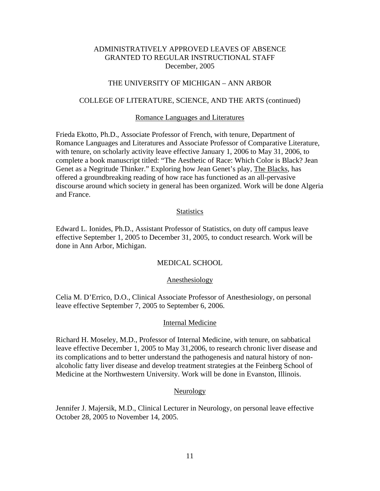### THE UNIVERSITY OF MICHIGAN – ANN ARBOR

#### COLLEGE OF LITERATURE, SCIENCE, AND THE ARTS (continued)

#### Romance Languages and Literatures

Frieda Ekotto, Ph.D., Associate Professor of French, with tenure, Department of Romance Languages and Literatures and Associate Professor of Comparative Literature, with tenure, on scholarly activity leave effective January 1, 2006 to May 31, 2006, to complete a book manuscript titled: "The Aesthetic of Race: Which Color is Black? Jean Genet as a Negritude Thinker." Exploring how Jean Genet's play, The Blacks, has offered a groundbreaking reading of how race has functioned as an all-pervasive discourse around which society in general has been organized. Work will be done Algeria and France.

#### **Statistics**

Edward L. Ionides, Ph.D., Assistant Professor of Statistics, on duty off campus leave effective September 1, 2005 to December 31, 2005, to conduct research. Work will be done in Ann Arbor, Michigan.

### MEDICAL SCHOOL

#### Anesthesiology

Celia M. D'Errico, D.O., Clinical Associate Professor of Anesthesiology, on personal leave effective September 7, 2005 to September 6, 2006.

#### Internal Medicine

Richard H. Moseley, M.D., Professor of Internal Medicine, with tenure, on sabbatical leave effective December 1, 2005 to May 31,2006, to research chronic liver disease and its complications and to better understand the pathogenesis and natural history of nonalcoholic fatty liver disease and develop treatment strategies at the Feinberg School of Medicine at the Northwestern University. Work will be done in Evanston, Illinois.

#### **Neurology**

Jennifer J. Majersik, M.D., Clinical Lecturer in Neurology, on personal leave effective October 28, 2005 to November 14, 2005.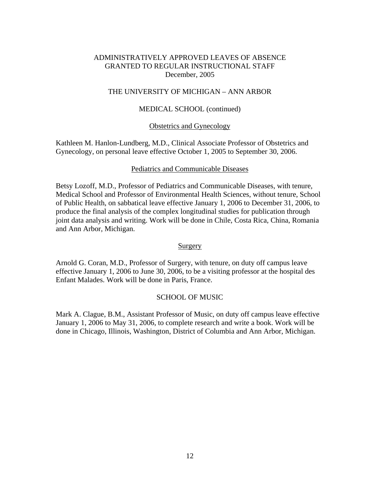### THE UNIVERSITY OF MICHIGAN – ANN ARBOR

### MEDICAL SCHOOL (continued)

### Obstetrics and Gynecology

Kathleen M. Hanlon-Lundberg, M.D., Clinical Associate Professor of Obstetrics and Gynecology, on personal leave effective October 1, 2005 to September 30, 2006.

### Pediatrics and Communicable Diseases

Betsy Lozoff, M.D., Professor of Pediatrics and Communicable Diseases, with tenure, Medical School and Professor of Environmental Health Sciences, without tenure, School of Public Health, on sabbatical leave effective January 1, 2006 to December 31, 2006, to produce the final analysis of the complex longitudinal studies for publication through joint data analysis and writing. Work will be done in Chile, Costa Rica, China, Romania and Ann Arbor, Michigan.

### **Surgery**

Arnold G. Coran, M.D., Professor of Surgery, with tenure, on duty off campus leave effective January 1, 2006 to June 30, 2006, to be a visiting professor at the hospital des Enfant Malades. Work will be done in Paris, France.

### SCHOOL OF MUSIC

Mark A. Clague, B.M., Assistant Professor of Music, on duty off campus leave effective January 1, 2006 to May 31, 2006, to complete research and write a book. Work will be done in Chicago, Illinois, Washington, District of Columbia and Ann Arbor, Michigan.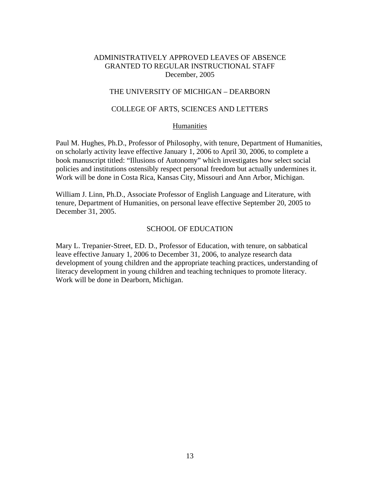## THE UNIVERSITY OF MICHIGAN – DEARBORN

## COLLEGE OF ARTS, SCIENCES AND LETTERS

### Humanities

Paul M. Hughes, Ph.D., Professor of Philosophy, with tenure, Department of Humanities, on scholarly activity leave effective January 1, 2006 to April 30, 2006, to complete a book manuscript titled: "Illusions of Autonomy" which investigates how select social policies and institutions ostensibly respect personal freedom but actually undermines it. Work will be done in Costa Rica, Kansas City, Missouri and Ann Arbor, Michigan.

William J. Linn, Ph.D., Associate Professor of English Language and Literature, with tenure, Department of Humanities, on personal leave effective September 20, 2005 to December 31, 2005.

## SCHOOL OF EDUCATION

Mary L. Trepanier-Street, ED. D., Professor of Education, with tenure, on sabbatical leave effective January 1, 2006 to December 31, 2006, to analyze research data development of young children and the appropriate teaching practices, understanding of literacy development in young children and teaching techniques to promote literacy. Work will be done in Dearborn, Michigan.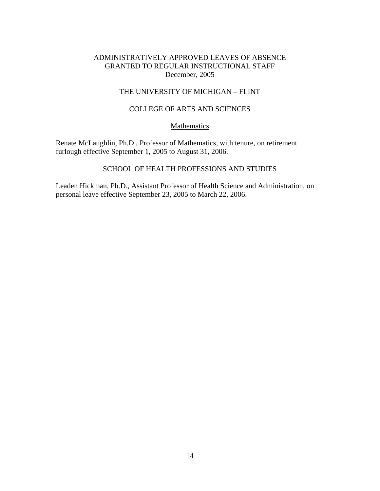## THE UNIVERSITY OF MICHIGAN – FLINT

# COLLEGE OF ARTS AND SCIENCES

## Mathematics

Renate McLaughlin, Ph.D., Professor of Mathematics, with tenure, on retirement furlough effective September 1, 2005 to August 31, 2006.

# SCHOOL OF HEALTH PROFESSIONS AND STUDIES

Leaden Hickman, Ph.D., Assistant Professor of Health Science and Administration, on personal leave effective September 23, 2005 to March 22, 2006.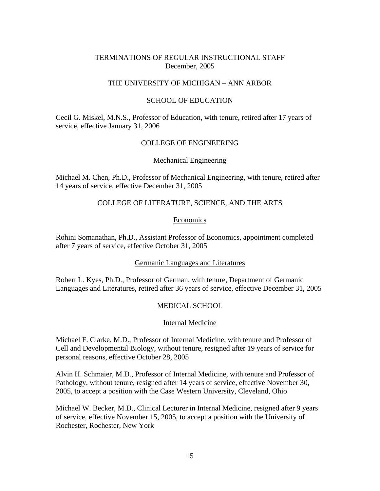## TERMINATIONS OF REGULAR INSTRUCTIONAL STAFF December, 2005

# THE UNIVERSITY OF MICHIGAN – ANN ARBOR

### SCHOOL OF EDUCATION

Cecil G. Miskel, M.N.S., Professor of Education, with tenure, retired after 17 years of service, effective January 31, 2006

## COLLEGE OF ENGINEERING

#### Mechanical Engineering

Michael M. Chen, Ph.D., Professor of Mechanical Engineering, with tenure, retired after 14 years of service, effective December 31, 2005

## COLLEGE OF LITERATURE, SCIENCE, AND THE ARTS

### Economics

Rohini Somanathan, Ph.D., Assistant Professor of Economics, appointment completed after 7 years of service, effective October 31, 2005

#### Germanic Languages and Literatures

Robert L. Kyes, Ph.D., Professor of German, with tenure, Department of Germanic Languages and Literatures, retired after 36 years of service, effective December 31, 2005

## MEDICAL SCHOOL

#### Internal Medicine

Michael F. Clarke, M.D., Professor of Internal Medicine, with tenure and Professor of Cell and Developmental Biology, without tenure, resigned after 19 years of service for personal reasons, effective October 28, 2005

Alvin H. Schmaier, M.D., Professor of Internal Medicine, with tenure and Professor of Pathology, without tenure, resigned after 14 years of service, effective November 30, 2005, to accept a position with the Case Western University, Cleveland, Ohio

Michael W. Becker, M.D., Clinical Lecturer in Internal Medicine, resigned after 9 years of service, effective November 15, 2005, to accept a position with the University of Rochester, Rochester, New York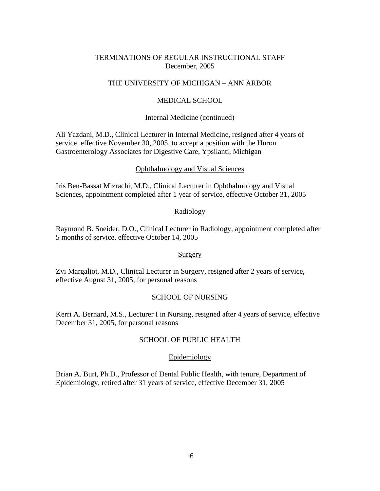# TERMINATIONS OF REGULAR INSTRUCTIONAL STAFF December, 2005

## THE UNIVERSITY OF MICHIGAN – ANN ARBOR

### MEDICAL SCHOOL

#### Internal Medicine (continued)

Ali Yazdani, M.D., Clinical Lecturer in Internal Medicine, resigned after 4 years of service, effective November 30, 2005, to accept a position with the Huron Gastroenterology Associates for Digestive Care, Ypsilanti, Michigan

#### Ophthalmology and Visual Sciences

Iris Ben-Bassat Mizrachi, M.D., Clinical Lecturer in Ophthalmology and Visual Sciences, appointment completed after 1 year of service, effective October 31, 2005

#### Radiology

Raymond B. Sneider, D.O., Clinical Lecturer in Radiology, appointment completed after 5 months of service, effective October 14, 2005

#### Surgery

Zvi Margaliot, M.D., Clinical Lecturer in Surgery, resigned after 2 years of service, effective August 31, 2005, for personal reasons

### SCHOOL OF NURSING

Kerri A. Bernard, M.S., Lecturer I in Nursing, resigned after 4 years of service, effective December 31, 2005, for personal reasons

### SCHOOL OF PUBLIC HEALTH

#### Epidemiology

Brian A. Burt, Ph.D., Professor of Dental Public Health, with tenure, Department of Epidemiology, retired after 31 years of service, effective December 31, 2005